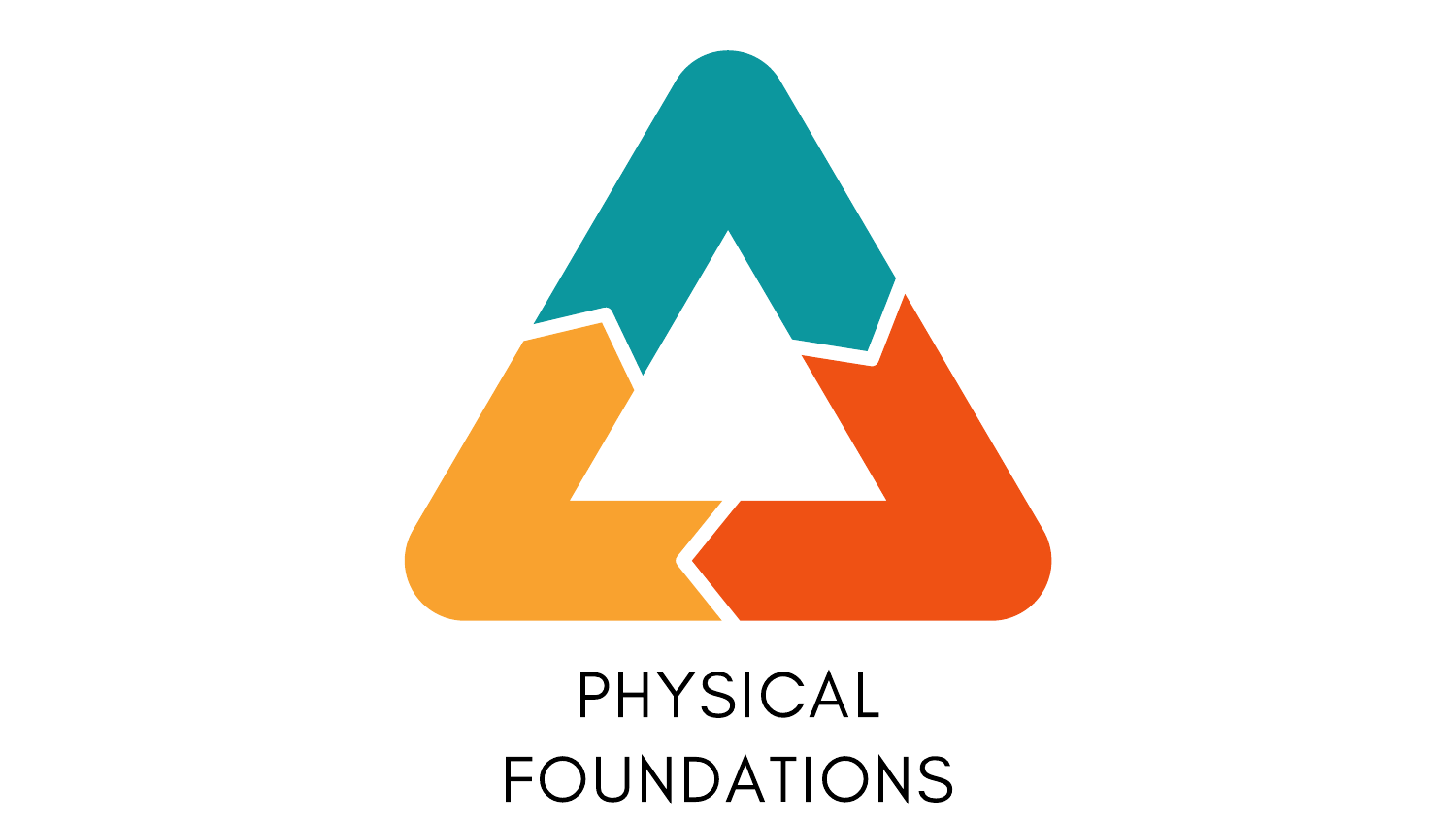

# PHYSICAL FOUNDATIONS

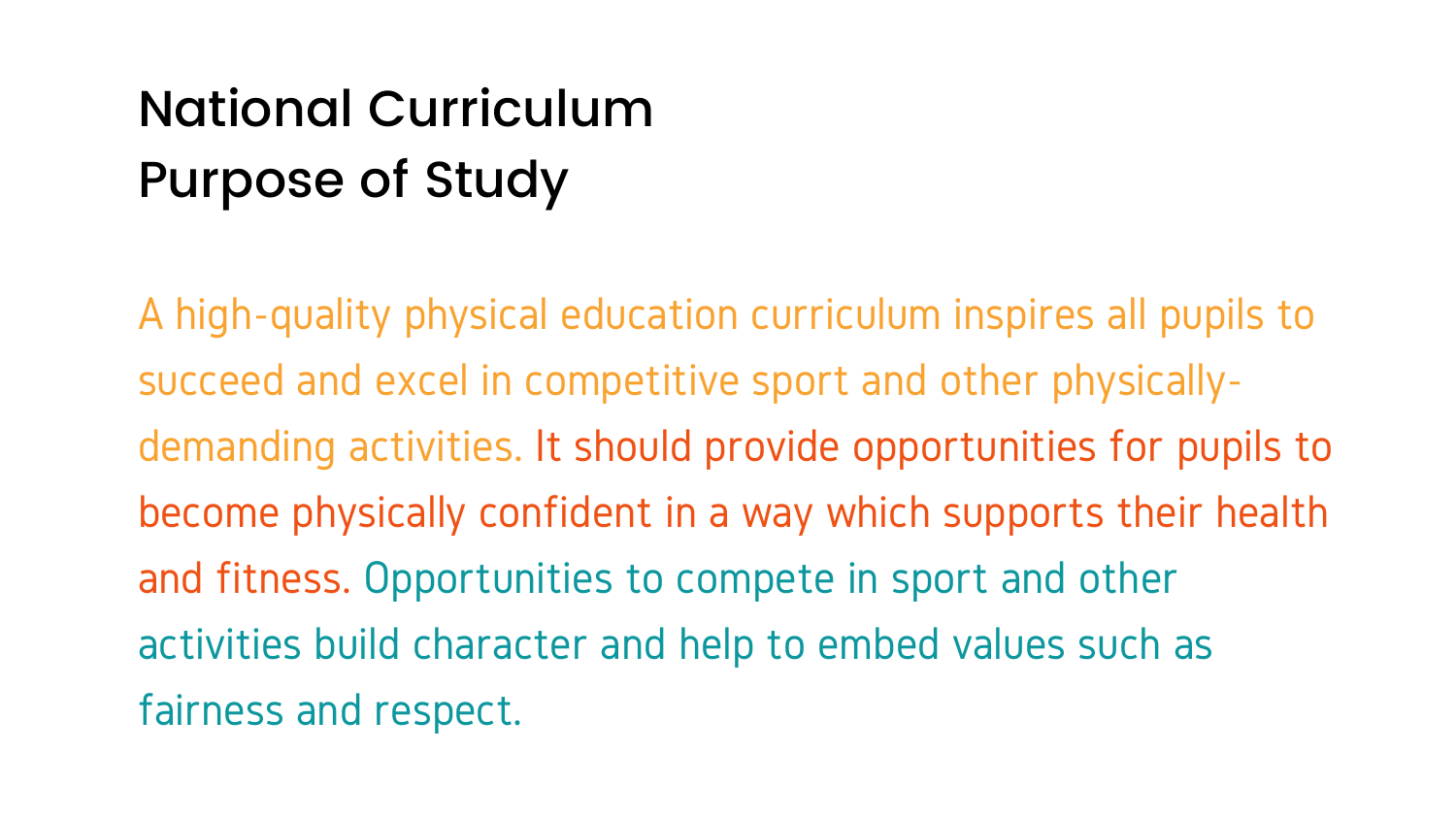A high-quality physical education curriculum inspires all pupils to succeed and excel in competitive sport and other physicallydemanding activities. It should provide opportunities for pupils to become physically confident in a way which supports their health and fitness. Opportunities to compete in sport and other activities build character and help to embed values such as fairness and respect.

- 
- 
- 
- 
- 

# National Curriculum Purpose of Study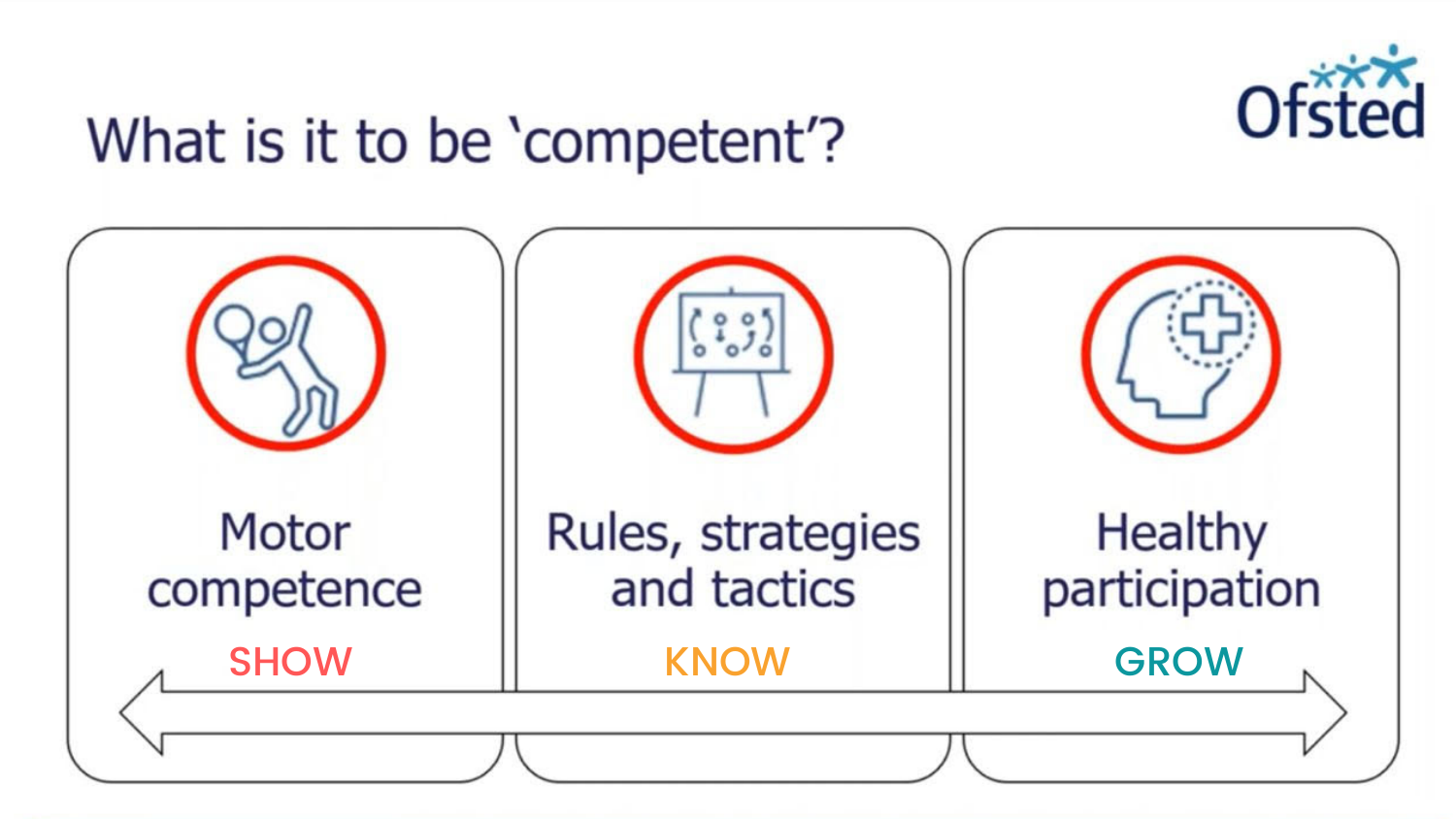## What is it to be 'competent'?



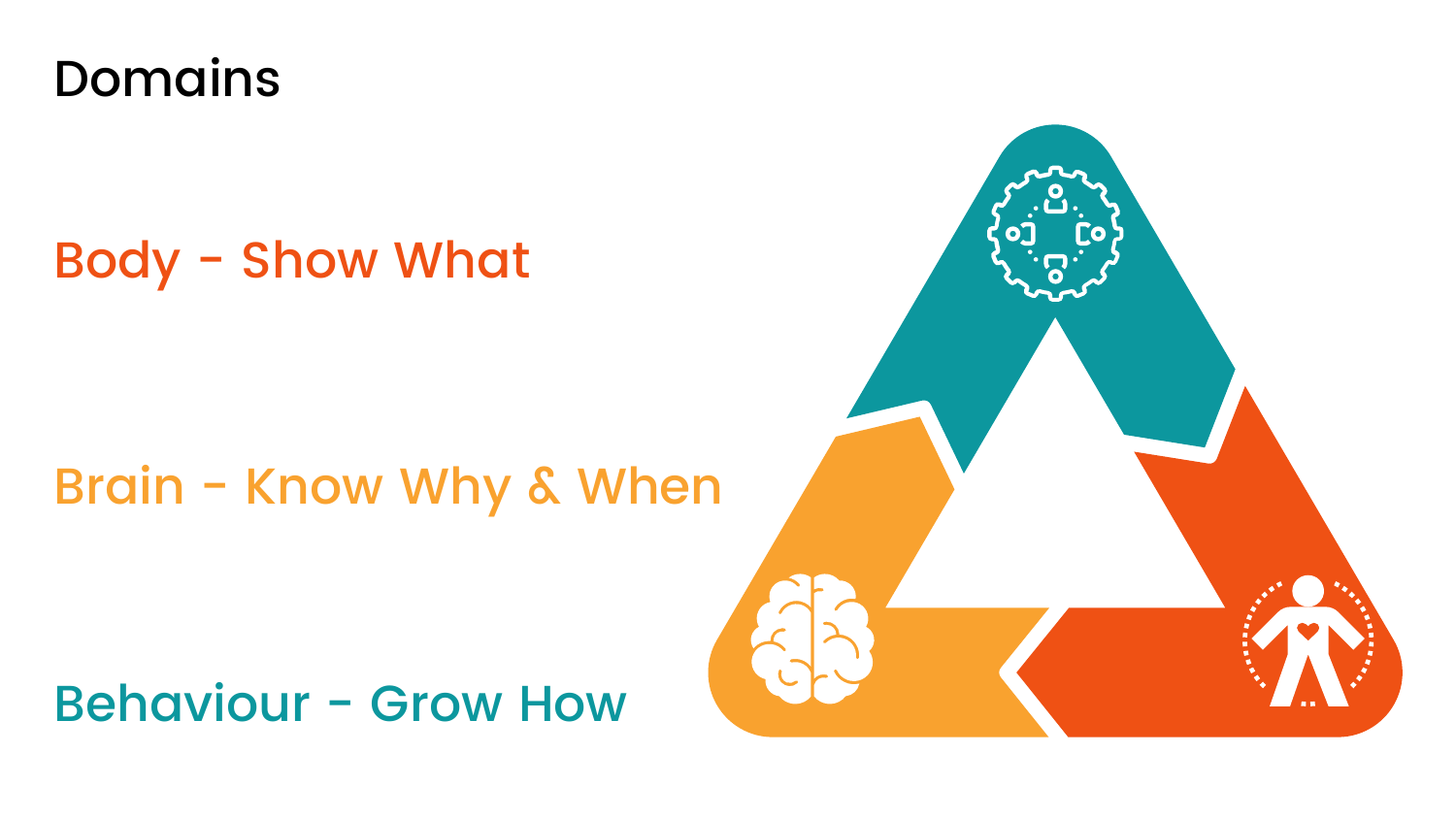

## Brain - Know Why & When

## Behaviour - Grow How



## Body - Show What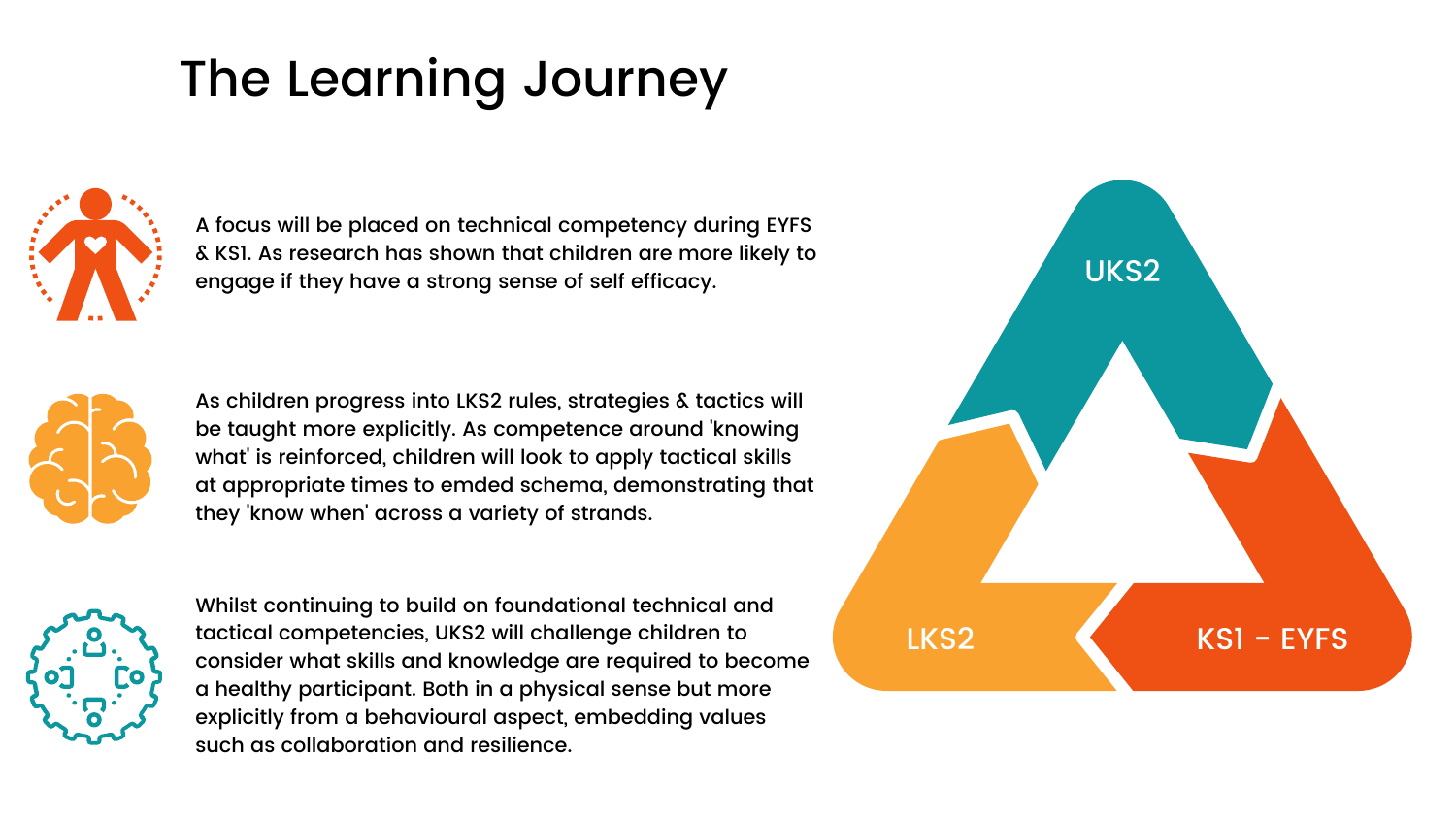A focus will be placed on technical competency during EYFS & KS1. As research has shown that children are more likely to engage if they have a strong sense of self efficacy.



Whilst continuing to build on foundational technical and tactical competencies, UKS2 will challenge children to consider what skills and knowledge are required to become a healthy participant. Both in a physical sense but more explicitly from a behavioural aspect, embedding values such as collaboration and resilience.

## The Learning Journey



As children progress into LKS2 rules, strategies & tactics will be taught more explicitly. As competence around 'knowing what' is reinforced, children will look to apply tactical skills at appropriate times to emded schema, demonstrating that they 'know when' across a variety of strands.



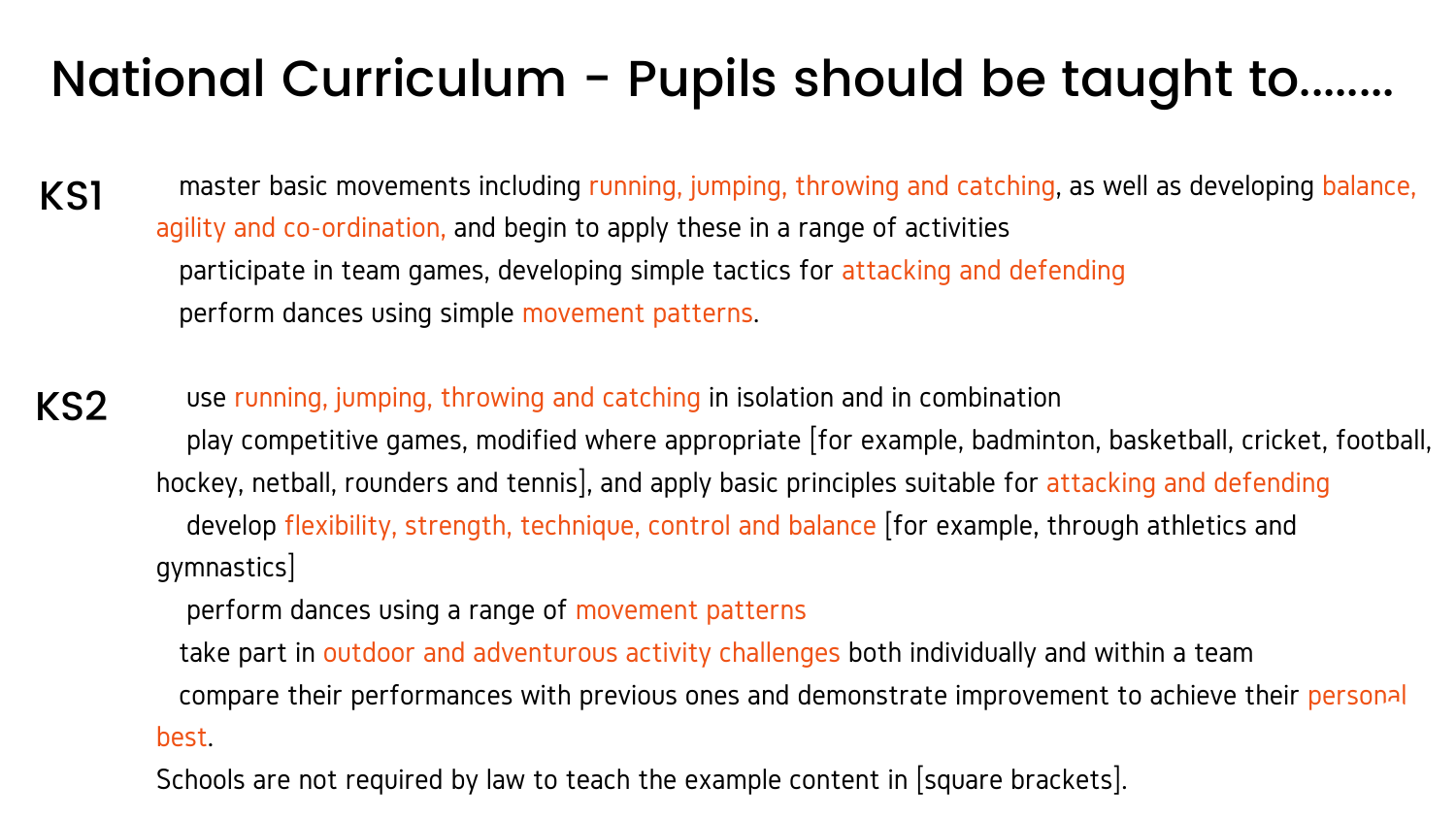# National Curriculum - Pupils should be taught to........

master basic movements including running, jumping, throwing and catching, as well as developing balance, agility and co-ordination, and begin to apply these in a range of activities participate in team games, developing simple tactics for attacking and defending perform dances using simple movement patterns. KS1

use running, jumping, throwing and catching in isolation and in combination play competitive games, modified where appropriate [for example, badminton, basketball, cricket, football, hockey, netball, rounders and tennis], and apply basic principles suitable for attacking and defending develop flexibility, strength, technique, control and balance [for example, through athletics and gymnastics] perform dances using a range of movement patterns take part in outdoor and adventurous activity challenges both individually and within a team KS2

compare their performances with previous ones and demonstrate improvement to achieve their personal best.

Schools are not required by law to teach the example content in [square brackets].

- 
- 

- 
- 
- 
- 

- 
-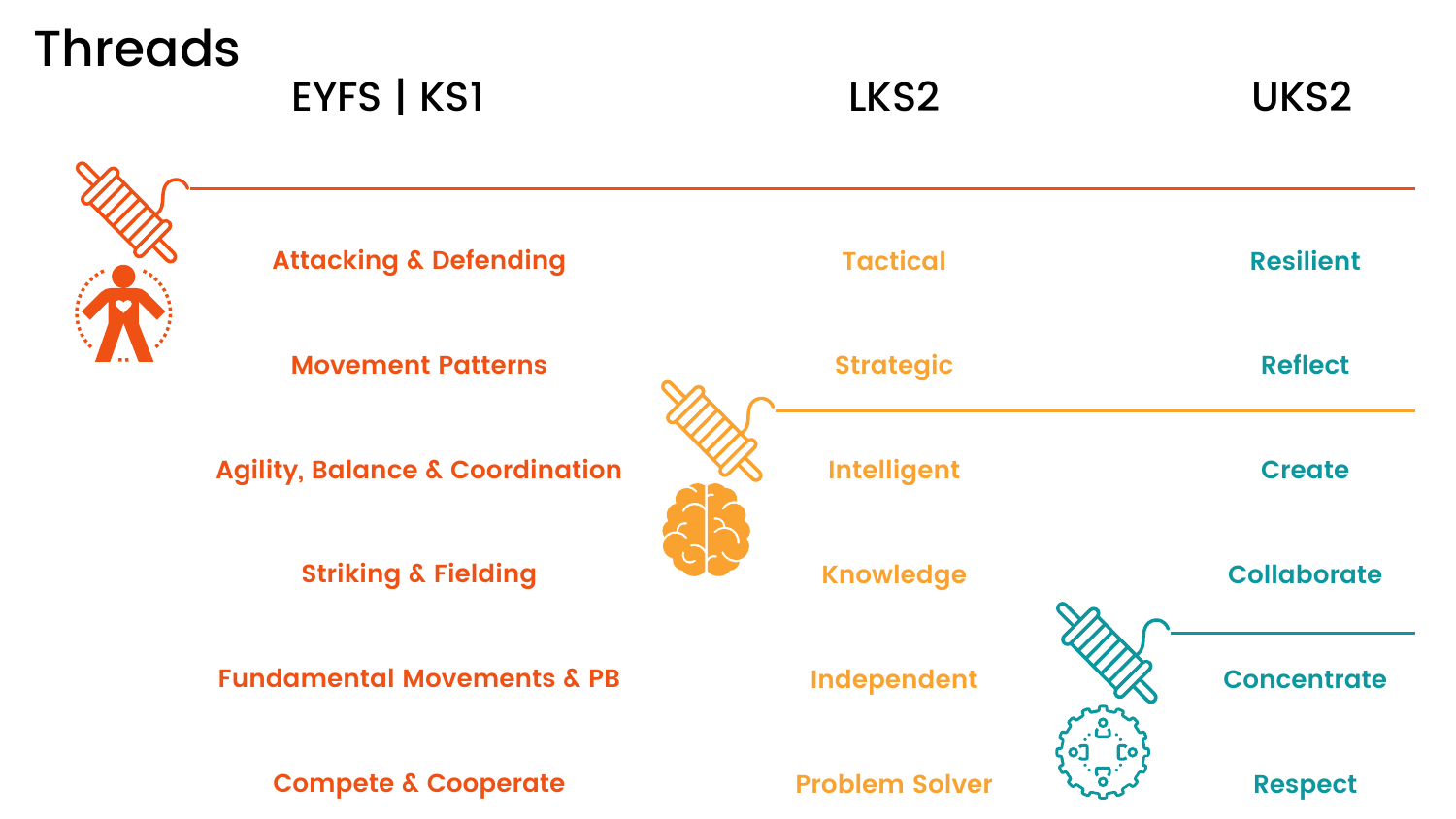## Threads

EYFS | KS1 LKS2 LKS2 UKS2





**Attacking & Defending**

**Movement Patterns**

**Agility, Balance & Coordination**

**Striking & Fielding**

**Fundamental Movements & PB**

**Compete & Cooperate**

**Intelligent Knowledge**

**Independent**





**Problem Solver**

**Concentrate**

**Respect**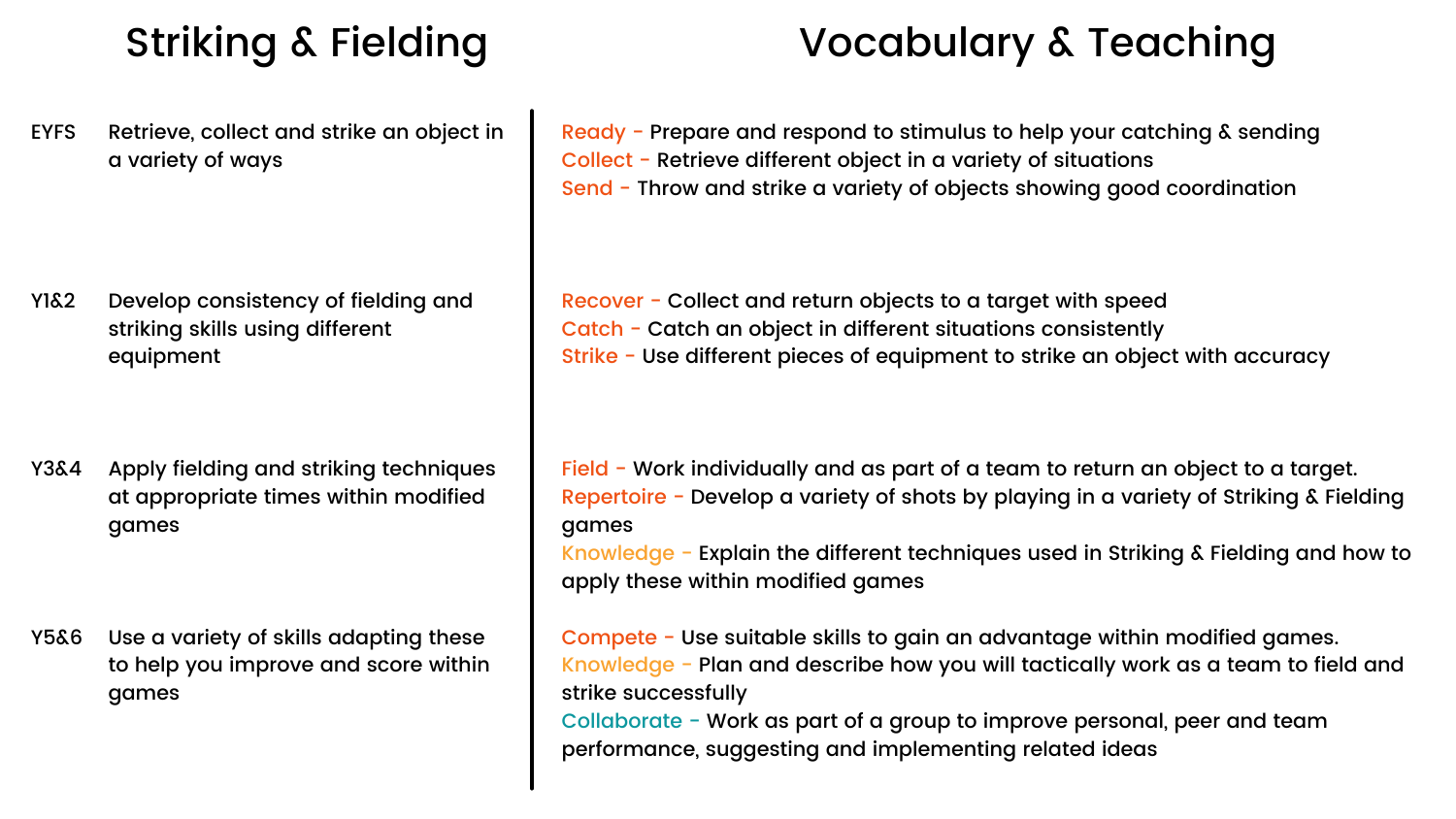EYFS Retrieve, collect and strike an object in a variety of ways

Y1&2 Develop consistency of fielding and striking skills using different equipment

Y3&4 Apply fielding and striking techniques at appropriate times within modified games

Y5&6 Use a variety of skills adapting these to help you improve and score within games

Field - Work individually and as part of a team to return an object to a target. Repertoire - Develop a variety of shots by playing in a variety of Striking & Fielding games

Ready - Prepare and respond to stimulus to help your catching & sending Collect - Retrieve different object in a variety of situations Send - Throw and strike a variety of objects showing good coordination

Recover - Collect and return objects to a target with speed Catch - Catch an object in different situations consistently Strike - Use different pieces of equipment to strike an object with accuracy

Knowledge - Explain the different techniques used in Striking & Fielding and how to apply these within modified games

Compete - Use suitable skills to gain an advantage within modified games. Knowledge - Plan and describe how you will tactically work as a team to field and strike successfully

Collaborate - Work as part of a group to improve personal, peer and team performance, suggesting and implementing related ideas

### Striking & Fielding Vocabulary & Teaching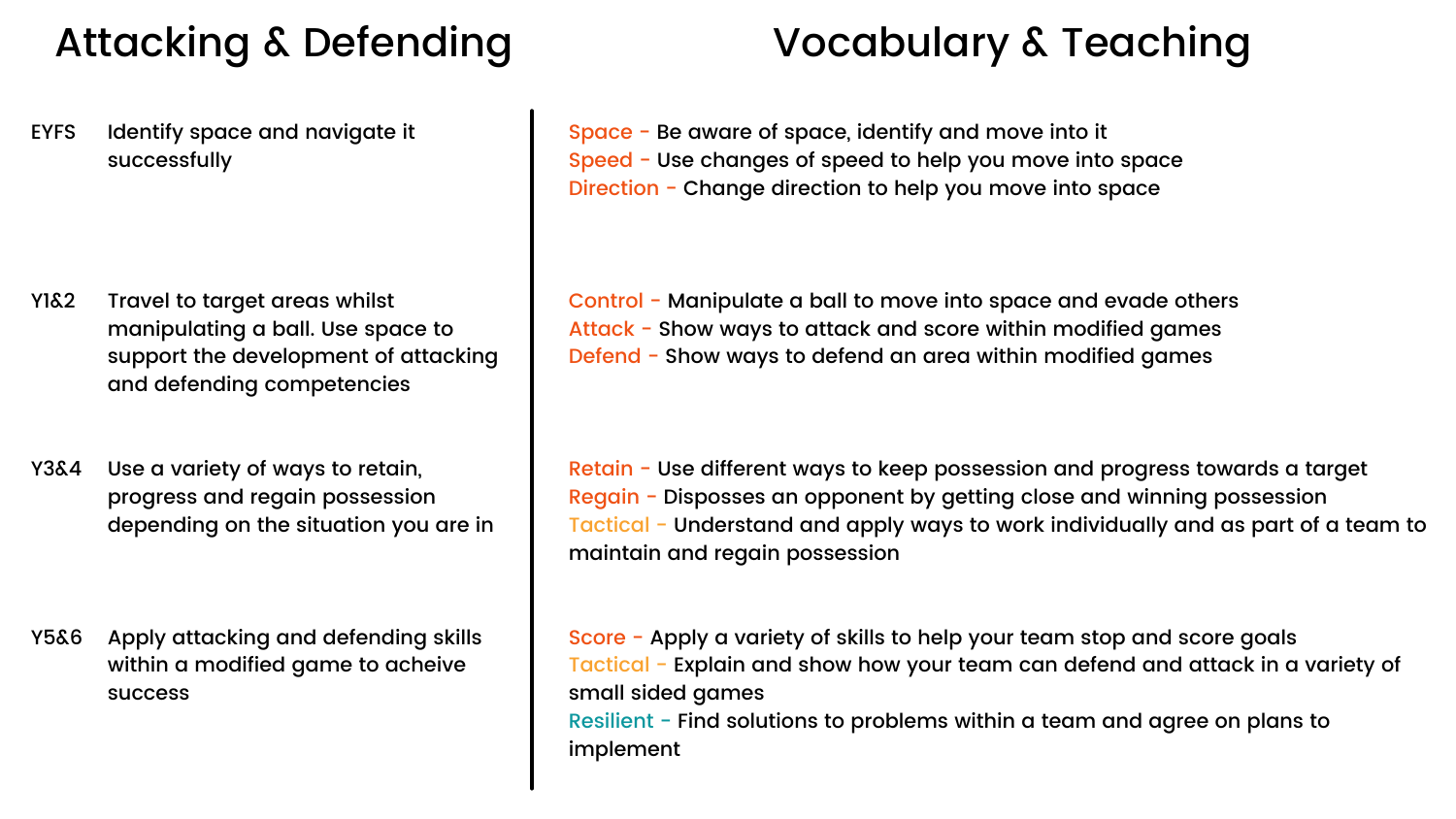### Attacking & Defending

Space - Be aware of space, identify and move into it Speed - Use changes of speed to help you move into space Direction - Change direction to help you move into space

Control - Manipulate a ball to move into space and evade others Attack - Show ways to attack and score within modified games Defend - Show ways to defend an area within modified games

Identify space and navigate it successfully EYFS

- Travel to target areas whilst manipulating a ball. Use space to support the development of attacking and defending competencies Y1&2
- Use a variety of ways to retain, progress and regain possession depending on the situation you are in Y3&4

Apply attacking and defending skills within a modified game to acheive success Y5&6

Retain - Use different ways to keep possession and progress towards a target Regain - Disposses an opponent by getting close and winning possession Tactical - Understand and apply ways to work individually and as part of a team to maintain and regain possession

Score - Apply a variety of skills to help your team stop and score goals Tactical - Explain and show how your team can defend and attack in a variety of small sided games Resilient - Find solutions to problems within a team and agree on plans to implement

### Vocabulary & Teaching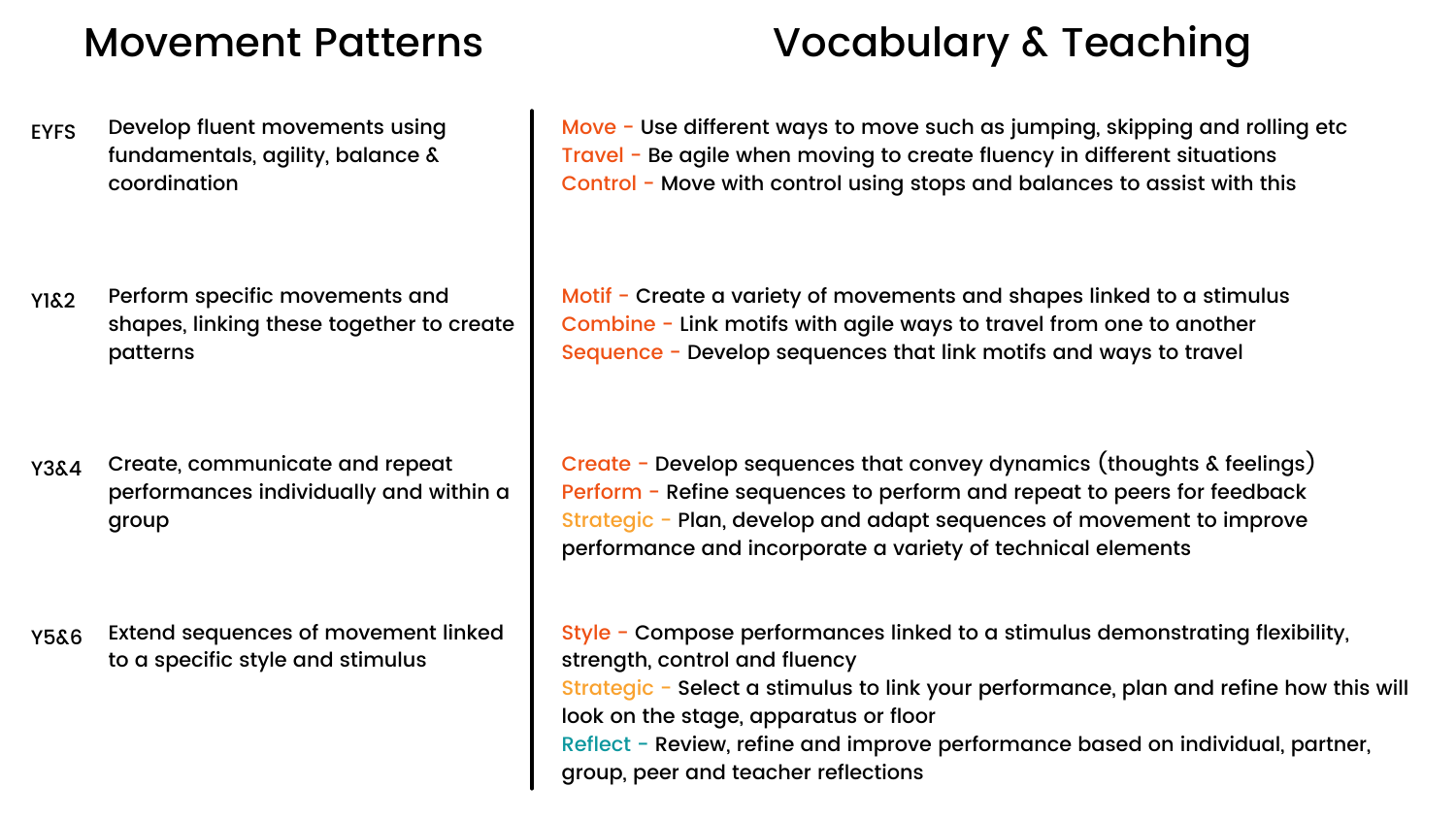### Movement Patterns Vocabulary & Teaching

**EYFS** Develop fluent movements using fundamentals, agility, balance & coordination

Y1&2 Perform specific movements and shapes, linking these together to create patterns

Y3&4 Create, communicate and repeat performances individually and within a group

Y5&6 Extend sequences of movement linked to a specific style and stimulus

Move - Use different ways to move such as jumping, skipping and rolling etc Travel - Be agile when moving to create fluency in different situations Control - Move with control using stops and balances to assist with this

Motif - Create a variety of movements and shapes linked to a stimulus Combine - Link motifs with agile ways to travel from one to another Sequence - Develop sequences that link motifs and ways to travel

Create - Develop sequences that convey dynamics (thoughts & feelings) Perform - Refine sequences to perform and repeat to peers for feedback Strategic - Plan, develop and adapt sequences of movement to improve performance and incorporate a variety of technical elements

Style - Compose performances linked to a stimulus demonstrating flexibility, strength, control and fluency Strategic - Select a stimulus to link your performance, plan and refine how this will look on the stage, apparatus or floor Reflect - Review, refine and improve performance based on individual, partner, group, peer and teacher reflections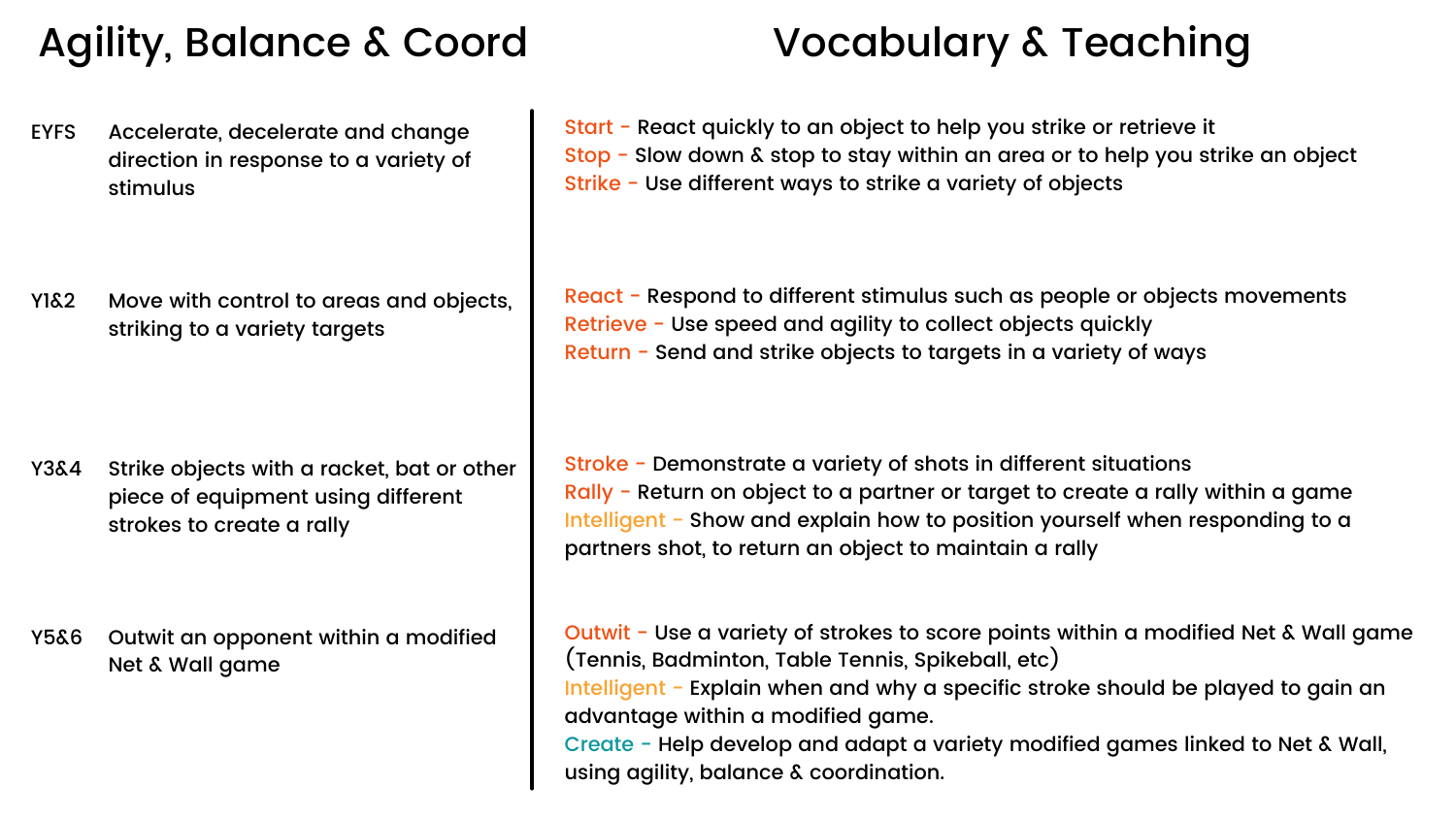### Agility, Balance & Coord Vocabulary & Teaching

EYFS Accelerate, decelerate and change direction in response to a variety of stimulus

Y1&2 Move with control to areas and objects, striking to a variety targets

Y3&4 Strike objects with a racket, bat or other piece of equipment using different strokes to create a rally

Y5&6 Outwit an opponent within a modified Net & Wall game

Start - React quickly to an object to help you strike or retrieve it Stop - Slow down & stop to stay within an area or to help you strike an object Strike - Use different ways to strike a variety of objects

React - Respond to different stimulus such as people or objects movements Retrieve - Use speed and agility to collect objects quickly Return - Send and strike objects to targets in a variety of ways

Outwit - Use a variety of strokes to score points within a modified Net & Wall game (Tennis, Badminton, Table Tennis, Spikeball, etc) Intelligent - Explain when and why a specific stroke should be played to gain an advantage within a modified game. Create - Help develop and adapt a variety modified games linked to Net & Wall, using agility, balance & coordination.

Stroke - Demonstrate a variety of shots in different situations Rally - Return on object to a partner or target to create a rally within a game Intelligent - Show and explain how to position yourself when responding to a partners shot, to return an object to maintain a rally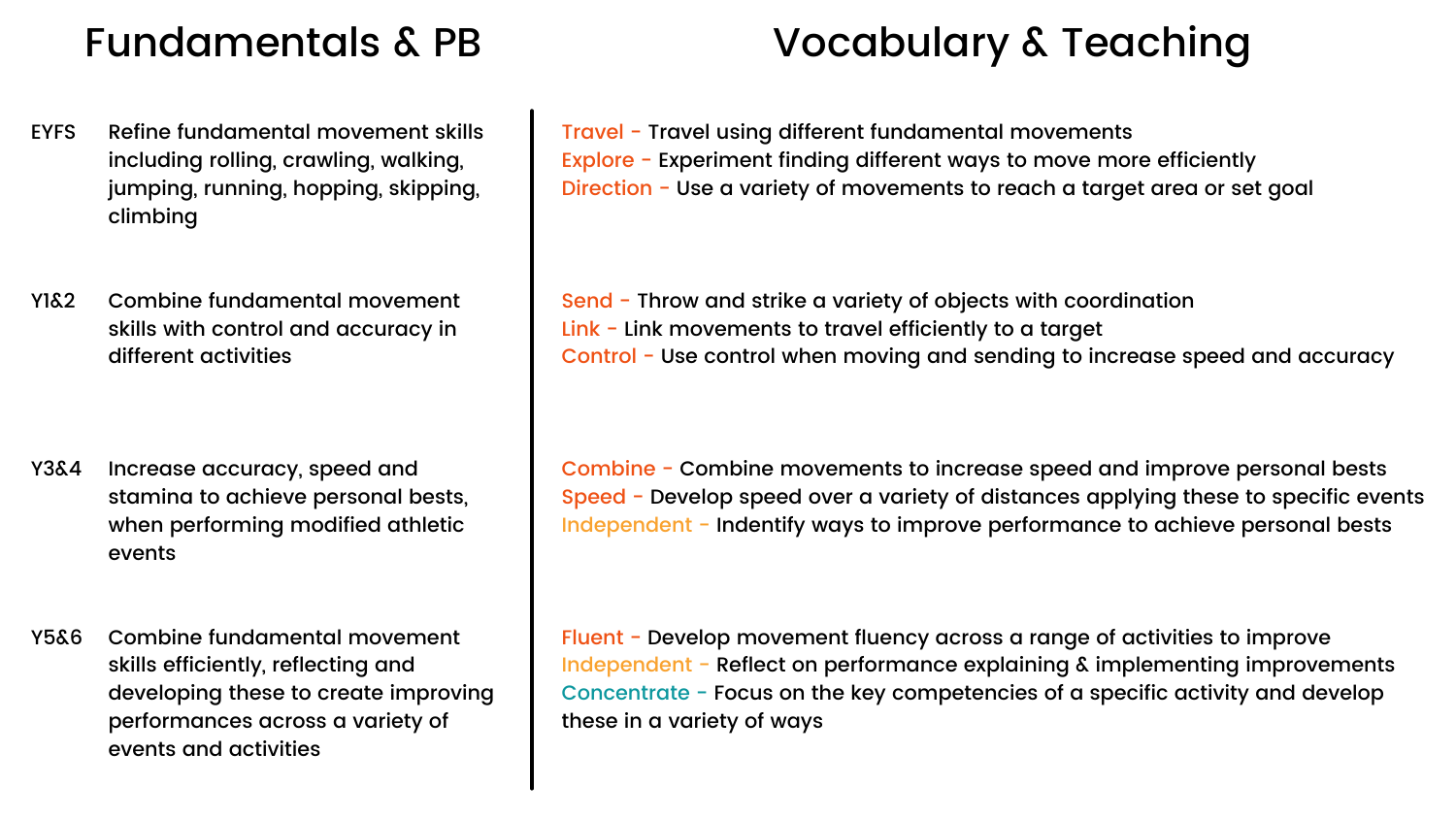- **FYFS** Refine fundamental movement skills including rolling, crawling, walking, jumping, running, hopping, skipping, climbing
- Y1&2 Combine fundamental movement skills with control and accuracy in different activities

Travel - Travel using different fundamental movements Explore - Experiment finding different ways to move more efficiently Direction - Use a variety of movements to reach a target area or set goal

- Y3&4 Increase accuracy, speed and stamina to achieve personal bests, when performing modified athletic events
- Y5&6 Combine fundamental movement skills efficiently, reflecting and developing these to create improving performances across a variety of events and activities

Send - Throw and strike a variety of objects with coordination Link - Link movements to travel efficiently to a target Control - Use control when moving and sending to increase speed and accuracy

Combine - Combine movements to increase speed and improve personal bests Speed - Develop speed over a variety of distances applying these to specific events Independent - Indentify ways to improve performance to achieve personal bests

Fluent - Develop movement fluency across a range of activities to improve Independent - Reflect on performance explaining & implementing improvements Concentrate - Focus on the key competencies of a specific activity and develop these in a variety of ways

### Fundamentals & PB Vocabulary & Teaching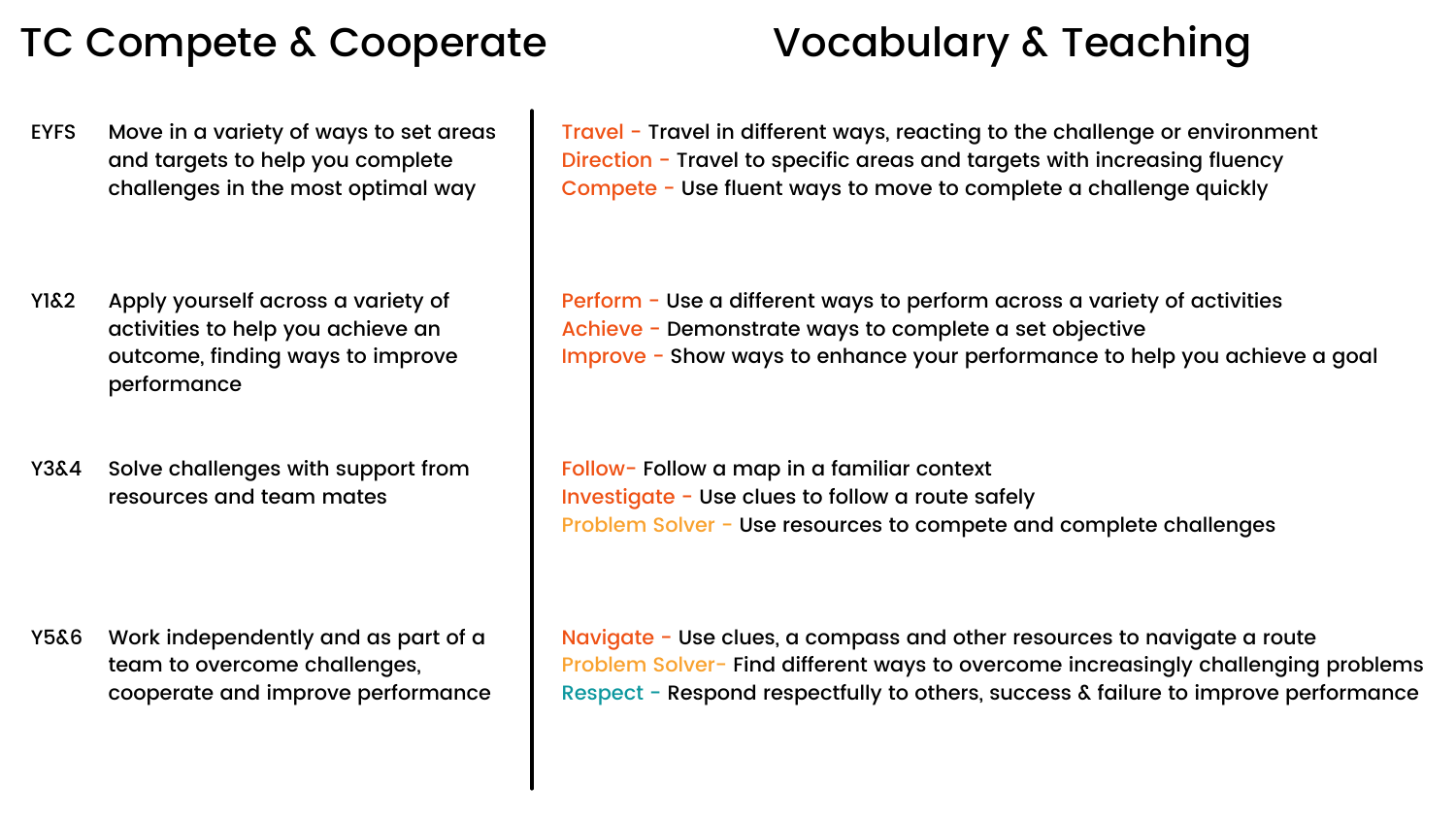### TC Compete & Cooperate Vocabulary & Teaching

EYFS Move in a variety of ways to set areas and targets to help you complete challenges in the most optimal way

- Y1&2 Apply yourself across a variety of activities to help you achieve an outcome, finding ways to improve performance
- Y3&4 Solve challenges with support from resources and team mates

Y5&6 Work independently and as part of a team to overcome challenges, cooperate and improve performance Travel - Travel in different ways, reacting to the challenge or environment Direction - Travel to specific areas and targets with increasing fluency Compete - Use fluent ways to move to complete a challenge quickly

Perform - Use a different ways to perform across a variety of activities Achieve - Demonstrate ways to complete a set objective Improve - Show ways to enhance your performance to help you achieve a goal

Follow- Follow a map in a familiar context Investigate - Use clues to follow a route safely Problem Solver - Use resources to compete and complete challenges

Navigate - Use clues, a compass and other resources to navigate a route Problem Solver- Find different ways to overcome increasingly challenging problems Respect - Respond respectfully to others, success & failure to improve performance